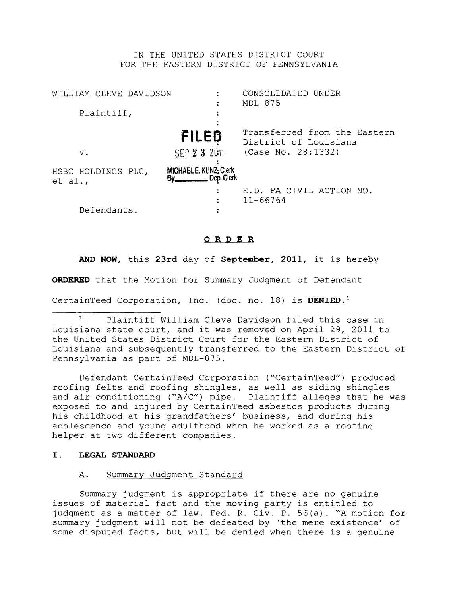# IN THE UNITED STATES DISTRICT COURT FOR THE EASTERN DISTRICT OF PENNSYLVANIA

| WILLIAM CLEVE DAVIDSON        |                                                                | CONSOLIDATED UNDER                                    |
|-------------------------------|----------------------------------------------------------------|-------------------------------------------------------|
|                               |                                                                | <b>MDL 875</b>                                        |
| Plaintiff,                    |                                                                |                                                       |
|                               |                                                                |                                                       |
|                               | FILED                                                          | Transferred from the Eastern<br>District of Louisiana |
| $V_{\star}$                   | SEP 2 3 2011                                                   | (Case No. 28:1332)                                    |
| HSBC HOLDINGS PLC,<br>et al., | MICHAEL E. KUNZ: Clerk<br>By <sub>___________</sub> Dep. Clerk |                                                       |
|                               |                                                                | E.D. PA CIVIL ACTION NO.                              |
|                               |                                                                | $11 - 66764$                                          |
| Defendants.                   |                                                                |                                                       |

# o R D **E R**

**AND NOW,** this **23rd** day of **September, 2011,** it is hereby

**ORDERED** that the Motion for Summary Judgment of Defendant

CertainTeed Corporation, Inc. (doc. no. 18) is **DENIED.l** 

Defendant CertainTeed Corporation ("CertainTeed") produced roofing felts and roofing shingles, as well as siding shingles and air conditioning ("A/C") pipe. Plaintiff alleges that he was exposed to and injured by CertainTeed asbestos products during his childhood at his grandfathers' business, and during his adolescence and young adulthood when he worked as a roofing helper at two different companies.

## I . **LEGAL STANDARD**

#### A. Summary Judgment Standard

Summary judgment is appropriate if there are no genuine issues of material fact and the moving party is entitled to judgment as a matter of law. Fed. R. Civ. P. 56(a). "A motion for summary judgment will not be defeated by 'the mere existence' of some disputed facts, but will be denied when there is a genuine

<sup>&</sup>lt;sup>1</sup> Plaintiff William Cleve Davidson filed this case in Louisiana state court, and it was removed on April 29, 2011 to the United States District Court for the Eastern District of Louisiana and subsequently transferred to the Eastern District of Pennsylvania as part of MDL-875.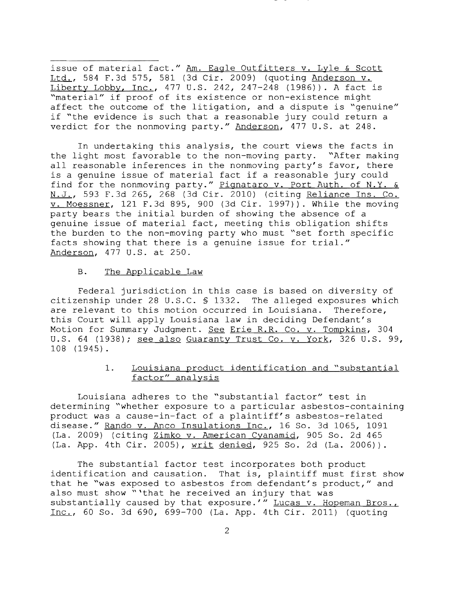issue of material fact." Am. Eagle Outfitters v. Lyle & Scott Ltd., 584 F.3d 575, 581 (3d Cir. 2009) (quoting Anderson v. Liberty Lobby, Inc., 477 U.S. 242, 247-248 (1986)). A fact is "material" if proof of its existence or non-existence might affect the outcome of the litigation, and a dispute is "genuine" if "the evidence is such that a reasonable jury could return a verdict for the nonmoving party." Anderson, 477 U.S. at 248.

In undertaking this analysis, the court views the facts in the light most favorable to the non-moving party. "After making all reasonable inferences in the nonmoving party's favor, there is a genuine issue of material fact if a reasonable jury could find for the nonmoving party." Pignataro v. Port Auth. of N.Y. & N.J., 593 F.3d 265, 268 (3d Cir. 2010) (citing Reliance Ins. Co. v. Moessner, 121 F.3d 895, 900 (3d Cir. 1997)). While the moving party bears the initial burden of showing the absence of a genuine issue of material fact, meeting this obligation shifts the burden to the non-moving party who must "set forth specific facts showing that there is a genuine issue for trial." Anderson, 477 U.S. at 250.

## B. The Applicable Law

Federal jurisdiction in this case is based on diversity of citizenship under 28 U.S.C. § 1332. The alleged exposures which are relevant to this motion occurred in Louisiana. Therefore, this Court will apply Louisiana law in deciding Defendant's Motion for Summary Judgment. See Erie R.R. Co. v. Tompkins, 304 U.S. 64 (1938); see also Guaranty Trust Co. v. York, 326 U.S. 99, 108 (1945).

## 1. Louisiana product identification and "substantial factor" analysis

Louisiana adheres to the "substantial factor" test in determining "whether exposure to a particular asbestos-containing product was a cause-in-fact of a plaintiff's asbestos-related disease." Rando v. Anco Insulations Inc., 16 So. 3d 1065, 1091 (La. 2009) (citing Zimko v. American Cyanamid, 905 So. 2d 465 (La. App. 4th Cir. 2005), writ denied, 925 So. 2d (La. 2006)).

The substantial factor test incorporates both product identification and causation. That is, plaintiff must first show that he "was exposed to asbestos from defendant's product," and also must show "'that he received an injury that was substantially caused by that exposure.'" Lucas v. Hopeman Bros., Inc., 60 So. 3d 690, 699-700 (La. App. 4th Cir. 2011) (quoting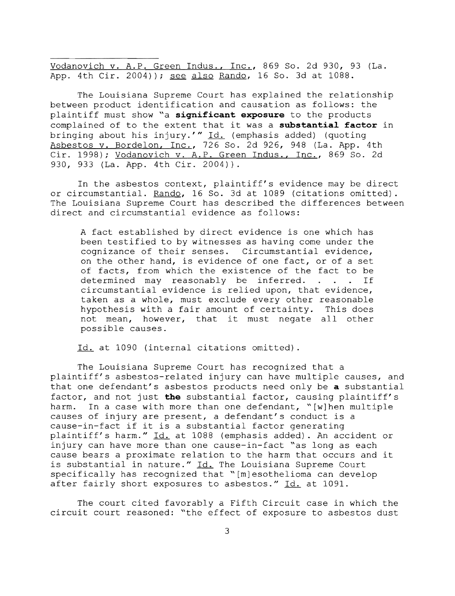Vodanovich v. A.P. Green Indus., Inc., 869 So. 2d 930, 93 (La. App. 4th Cir. 2004)); see also Rando, 16 So. 3d at 1088.

The Louisiana Supreme Court has explained the relationship between product identification and causation as follows: the plaintiff must show "a **significant exposure** to the products complained of to the extent that it was a **substantial factor** in bringing about his injury.'" <u>Id.</u> (emphasis added) (quoting Asbestos v. Bordelon, Inc., 726 So. 2d 926, 948 (La. App. 4th Cir. 1998); Vodanovich v. A.P. Green Indus., Inc., 869 So. 2d 930, 933 (La. App. 4th Cir. 2004)).

In the asbestos context, plaintiff's evidence may be direct or circumstantial. Rando, 16 So. 3d at 1089 (citations omitted). The Louisiana Supreme Court has described the differences between direct and circumstantial evidence as follows:

A fact established by direct evidence is one which has been testified to by witnesses as having come under the cognizance of their senses. Circumstantial evidence, on the other hand, is evidence of one fact, or of a set of facts, from which the existence of the fact to be determined may reasonably be inferred. . . . If circumstantial evidence is relied upon, that evidence, taken as a whole, must exclude every other reasonable hypothesis with a fair amount of certainty. This does nypocnesis with a fail amount of certainty. This does<br>not mean, however, that it must negate all other possible causes.

Id. at 1090 (internal citations omitted).

The Louisiana Supreme Court has recognized that a plaintiff's asbestos-related injury can have multiple causes, and that one defendant's asbestos products need only be a substantial factor, and not just the substantial factor, causing plaintiff's harm. In a case with more than one defendant, "[w]hen multiple causes of injury are present, a defendant's conduct is a cause-in-fact if it is a substantial factor generating plaintiff's harm." Id. at 1088 (emphasis added). An accident or injury can have more than one cause-in-fact "as long as each cause bears a proximate relation to the harm that occurs and it is substantial in nature." Id. The Louisiana Supreme Court specifically has recognized that "[m]esothelioma can develop after fairly short exposures to asbestos." Id. at 1091.

The court cited favorably a Fifth Circuit case in which the circuit court reasoned: "the effect of exposure to asbestos dust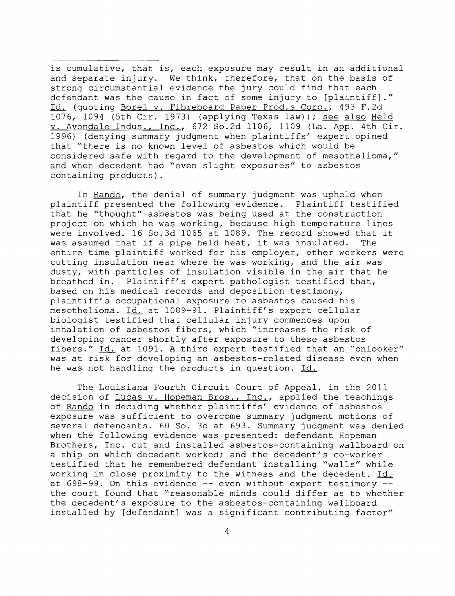is cumulative, that is, each exposure may result in an additional and separate injury. We think, therefore, that on the basis of strong circumstantial evidence the jury could find that each defendant was the cause in fact of some injury to **[plaintiff]."**  Id. (quoting Borel v. Fibreboard Paper Prod.s Corp., 493 F.2d 1076, 1094 (5th Cir. 1973) (applying Texas law)); see also Held v. Avondale Indus., Inc., 672 So.2d 1106, 1109 (La. App. 4th Cir. 1996) (denying summary judgment when plaintiffs' expert opined that "there is no known level of asbestos which would be considered safe with regard to the development of mesothelioma," and when decedent had "even slight exposures" to asbestos containing products).

In Rando, the denial of summary judgment was upheld when plaintiff presented the following evidence. Plaintiff testified that he "thought" asbestos was being used at the construction project on which he was working, because high temperature lines were involved. 16 So.3d 1065 at 1089. The record showed that it<br>was assumed that if a pipe held heat, it was insulated. The was assumed that if a pipe held heat, it was insulated. entire time plaintiff worked for his employer, other workers were cutting insulation near where he was working, and the air was dusty, with particles of insulation visible in the air that he breathed in. Plaintiff's expert pathologist testified that, based on his medical records and deposition testimony, plaintiff's occupational exposure to asbestos caused his mesothelioma. Id. at 1089-91. Plaintiff's expert cellular biologist testified that cellular injury commences upon inhalation of asbestos fibers, which "increases the risk of developing cancer shortly after exposure to these asbestos fibers." Id. at 1091. A third expert testified that an "onlooker" was at risk for developing an asbestos-related disease even when he was not handling the products in question. Id.

The Louisiana Fourth Circuit Court of Appeal, in the 2011 decision of Lucas v. Hopeman Bros., Inc., applied the teachings of Rando in deciding whether plaintiffs' evidence of asbestos exposure was sufficient to overcome summary judgment motions of several defendants. 60 So. 3d at 693. Summary judgment was denied when the following evidence was presented: defendant Hopeman Brothers, Inc. cut and installed asbestos-containing wallboard on a ship on which decedent worked; and the decedent's co-worker testified that he remembered defendant installing "walls" while working in close proximity to the witness and the decedent. Id. at  $698-99$ . On this evidence  $-$  even without expert testimony  $$ the court found that "reasonable minds could differ as to whether the decedent's exposure to the asbestos-containing wallboard installed by [defendant] was a significant contributing factor"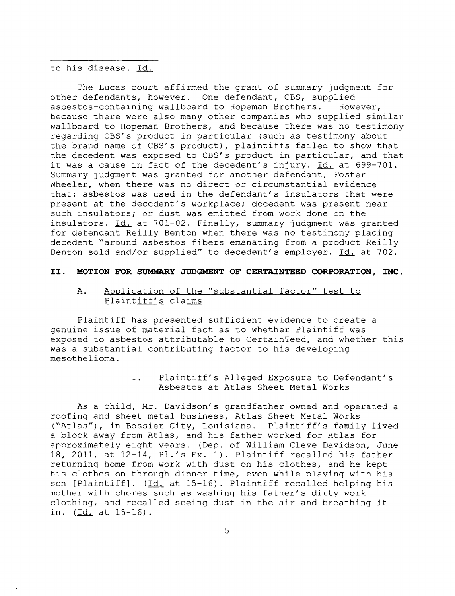to his disease. Id.

The Lucas court affirmed the grant of summary judgment for other defendants, however. One defendant, CBS, supplied asbestos-containing wallboard to Hopeman Brothers. However, because there were also many other companies who supplied similar wallboard to Hopeman Brothers, and because there was no testimony regarding CBS's product in particular (such as testimony about the brand name of CBS's product), plaintiffs failed to show that the decedent was exposed to CBS's product in particular, and that it was a cause in fact of the decedent's injury. Id. at 699-701. Summary judgment was granted for another defendant, Foster Wheeler, when there was no direct or circumstantial evidence that: asbestos was used in the defendant's insulators that were present at the decedent's workplace; decedent was present near such insulators; or dust was emitted from work done on the insulators. Id. at 701-02. Finally, summary judgment was granted for defendant Reilly Benton when there was no testimony placing decedent "around asbestos fibers emanating from a product Reilly Benton sold and/or supplied" to decedent's employer. Id. at 702.

## **II. MOTION FOR SUMMARY JUDGMENT OF CERTAINTEED CORPORATION, INC.**

# A. Application of the "substantial factor" test to Plaintiff's claims

Plaintiff has presented sufficient evidence to create a genuine issue of material fact as to whether Plaintiff was exposed to asbestos attributable to CertainTeed, and whether this was a substantial contributing factor to his developing mesothelioma.

> 1. Plaintiff's Alleged Exposure to Defendant's Asbestos at Atlas Sheet Metal Works

As a child, Mr. Davidson's grandfather owned and operated a roofing and sheet metal business, Atlas Sheet Metal Works ("Atlas"), in Bossier City, Louisiana. Plaintiff's family lived a block away from Atlas, and his father worked for Atlas for approximately eight years. (Dep. of William Cleve Davidson, June 18, 2011, at 12-14, PI.'s Ex. 1). Plaintiff recalled his father returning home from work with dust on his clothes, and he kept his clothes on through dinner time, even while playing with his son [Plaintiff]. (Id. at 15-16). Plaintiff recalled helping his mother with chores such as washing his father's dirty work clothing, and recalled seeing dust in the air and breathing it in.  $(Id.$  at  $15-16$ ).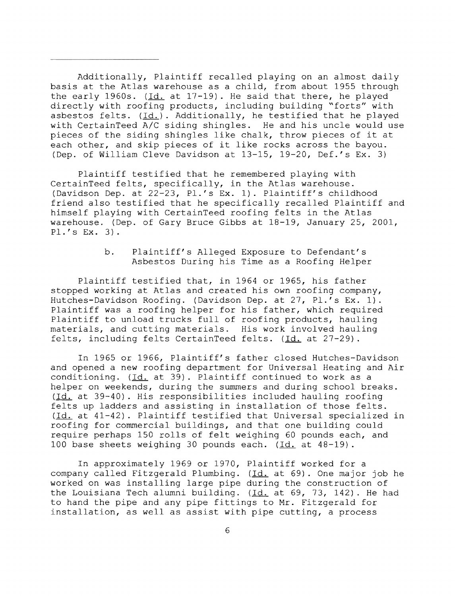Additionally, Plaintiff recalled playing on an almost daily basis at the Atlas warehouse as a child, from about 1955 through the early 1960s. (Id. at  $17-19$ ). He said that there, he played directly with roofing products, including building "forts" with asbestos felts.  $(\underline{Id.})$ . Additionally, he testified that he played with CertainTeed *A/c* siding shingles. He and his would use pieces of the siding shingles like chalk, throw pieces of it at each other, and skip pieces of it like rocks across the bayou. (Dep. of William Cleve Davidson at  $13-15$ ,  $19-20$ , Def.'s Ex. 3)

Plaintiff testified that he remembered playing with CertainTeed felts, specifically, in the Atlas warehouse. (Davidson Dep. at  $22-23$ , Pl.'s Ex. 1). Plaintiff's childhood friend also testified that he specifically recalled Plaintiff and himself playing with CertainTeed roofing felts in the Atlas warehouse. (Dep. of Gary Bruce Gibbs at 18-19, January 25, 2001, Pl. 's Ex. 3).

> b. Plaintiff's Alleged Exposure to Defendant's Asbestos During his Time as a Roofing Helper

Plaintiff testified that, in 1964 or 1965, his father stopped working at Atlas and created his own roofing company, Hutches-Davidson Roofing. (Davidson Dep. at 27, Pl.'s Ex. 1). Plaintiff was a roofing helper for his father, which required Plaintiff to unload trucks full of roofing products, hauling materials, and cutting materials. His work involved hauling felts, including felts CertainTeed felts. (Id. at 27-29).

In 1965 or 1966, Plaintiff's father closed Hutches-Davidson and opened a new roofing department for Universal Heating and Air conditioning.  $(Id_2$  at 39). Plaintiff continued to work as a helper on weekends, during the summers and during school breaks. (Id. at 39-40). His responsibilities included hauling roofing felts up ladders and assisting in installation of those felts.  $(Id. at 41-42)$ . Plaintiff testified that Universal specialized in roofing for commercial buildings, and that one building could require perhaps 150 rolls of felt weighing 60 pounds each, and 100 base sheets weighing 30 pounds each. (Id. at 48-19).

In approximately 1969 or 1970, Plaintiff worked for a company called Fitzgerald Plumbing. (Id. at 69). One major job he worked on was installing large pipe during the construction of the Louisiana Tech alumni building. (Id. at 69, 73, 142). He had to hand the pipe and any pipe fittings to Mr. Fitzgerald for installation, as well as assist with pipe cutting, a process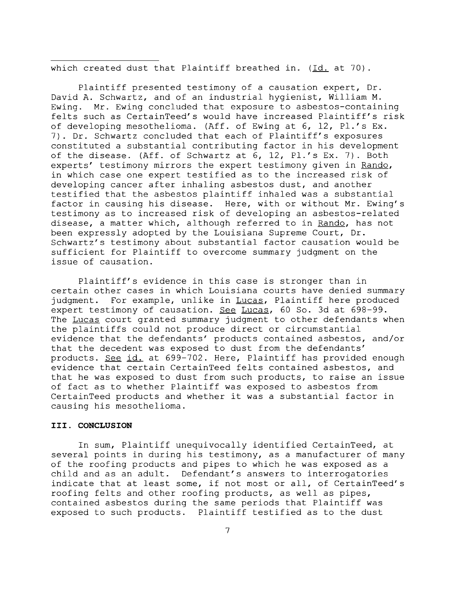which created dust that Plaintiff breathed in.  $(Id.$  at 70).

Plaintiff presented testimony of a causation expert, Dr. David A. Schwartz, and of an industrial hygienist, William **M.**  Ewing. Mr. Ewing concluded that exposure to asbestos-containing felts such as CertainTeed's would have increased Plaintiff's risk of developing mesothelioma. (Aff. of Ewing at 6, 12, Pl.'s Ex. 7). Dr. Schwartz concluded that each of Plaintiff's exposures constituted a substantial contributing factor in his development of the disease. (Aff. of Schwartz at 6, 12, Pl.'s Ex. 7). Both experts' testimony mirrors the expert testimony given in Rando, in which case one expert testified as to the increased risk of developing cancer after inhaling asbestos dust, and another testified that the asbestos plaintiff inhaled was a substantial factor in causing his disease. Here, with or without Mr. Ewing's testimony as to increased risk of developing an asbestos-related disease, a matter which, although referred to in Rando, has not been expressly adopted by the Louisiana Supreme Court, Dr. Schwartz's testimony about substantial factor causation would be sufficient for Plaintiff to overcome summary judgment on the issue of causation.

Plaintiff's evidence in this case is stronger than in certain other cases in which Louisiana courts have denied summary judgment. For example, unlike in Lucas, Plaintiff here produced expert testimony of causation. See Lucas, 60 So. 3d at 698-99. The Lucas court granted summary judgment to other defendants when the plaintiffs could not produce direct or circumstantial evidence that the defendants' products contained asbestos, and/or that the decedent was exposed to dust from the defendants' products. See id. at 699-702. Here, Plaintiff has provided enough evidence that certain CertainTeed felts contained asbestos, and that he was exposed to dust from such products, to raise an issue of fact as to whether Plaintiff was exposed to asbestos from CertainTeed products and whether it was a substantial factor in causing his mesothelioma.

## **III. CONCLUSION**

In sum, Plaintiff unequivocally identified CertainTeed, at several points in during his testimony, as a manufacturer of many of the roofing products and pipes to which he was exposed as a child and as an adult. Defendant's answers to interrogatories indicate that at least some, if not most or all, of CertainTeed's roofing felts and other roofing products, as well as pipes, contained asbestos during the same periods that Plaintiff was exposed to such products. Plaintiff testified as to the dust